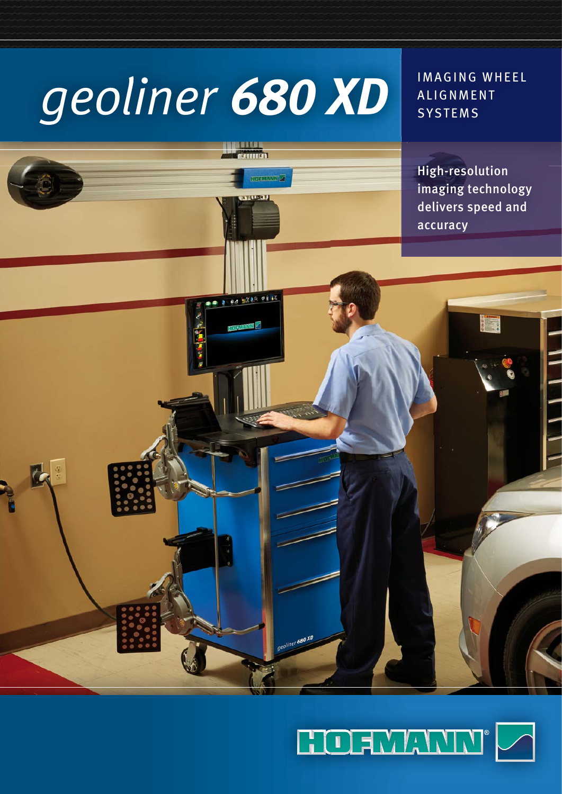# *geoliner 680 XD*

...... minist

**HUNT** 

2 00 MX88 09 IK

680 XD

IMAGING WHEEL **ALIGNMENT SYSTEMS** 

High-resolution imaging technology delivers speed and accuracy

y s

 $\blacksquare$ 

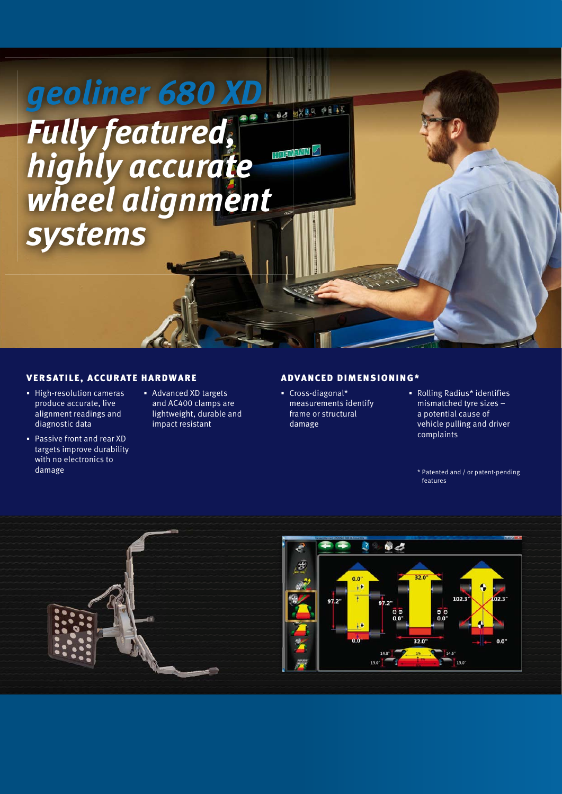# *geoliner 680 XD Fully featured,* **TO AMAND** *highly accurate wheel alignment systems*

#### VERSATILE, ACCURATE HARDWARE

- **-** High-resolution cameras produce accurate, live alignment readings and diagnostic data
- Passive front and rear XD targets improve durability with no electronics to damage
- Advanced XD targets and AC400 clamps are lightweight, durable and impact resistant

#### ADVANCED DIMENSIONING\*

- Cross-diagonal\* measurements identify frame or structural damage
- Rolling Radius\* identifies mismatched tyre sizes – a potential cause of vehicle pulling and driver complaints

\* Patented and / or patent-pending features

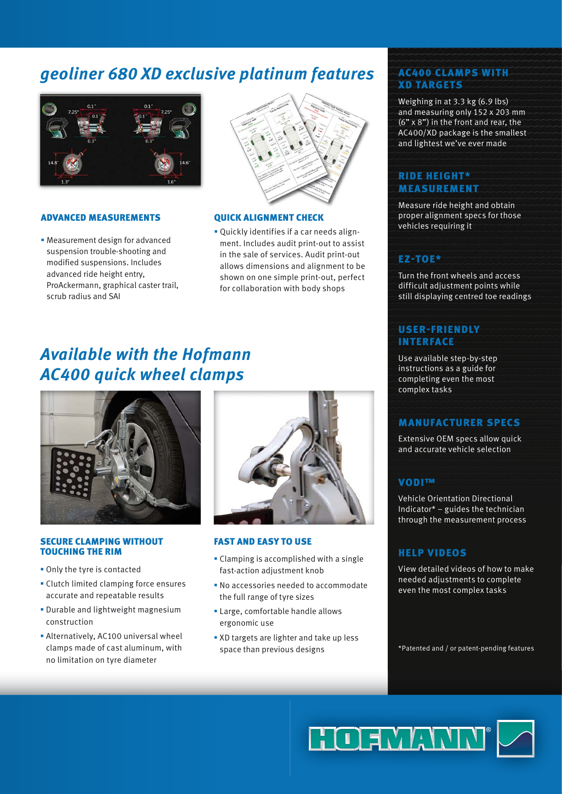## *geoliner 680 XD exclusive platinum features*



#### ADVANCED MEASUREMENTS

 Measurement design for advanced suspension trouble-shooting and modified suspensions. Includes advanced ride height entry, ProAckermann, graphical caster trail, scrub radius and SAI



#### QUICK ALIGNMENT CHECK

 Quickly identifies if a car needs alignment. Includes audit print-out to assist in the sale of services. Audit print-out allows dimensions and alignment to be shown on one simple print-out, perfect for collaboration with body shops

### *Available with the Hofmann AC400 quick wheel clamps*



#### SECURE CLAMPING WITHOUT TOUCHING THE RIM

- Only the tyre is contacted
- Clutch limited clamping force ensures accurate and repeatable results
- **Durable and lightweight magnesium** construction
- Alternatively, AC100 universal wheel clamps made of cast aluminum, with no limitation on tyre diameter



#### FAST AND EASY TO USE

- Clamping is accomplished with a single fast-action adjustment knob
- No accessories needed to accommodate the full range of tyre sizes
- Large, comfortable handle allows ergonomic use
- **XD** targets are lighter and take up less space than previous designs

#### AC400 CLAMPS WITH XD TARGETS

Weighing in at 3.3 kg (6.9 lbs) and measuring only 152 x 203 mm (6" x 8") in the front and rear, the AC400/XD package is the smallest and lightest we've ever made

#### RIDE HEIGHT\* MEASUREMENT

Measure ride height and obtain proper alignment specs for those vehicles requiring it

#### EZ-TOE\*

Turn the front wheels and access difficult adjustment points while still displaying centred toe readings

#### USER-FRIENDLY INTERFACE

Use available step-by-step instructions as a guide for completing even the most complex tasks

#### MANUFACTURER SPECS

Extensive OEM specs allow quick and accurate vehicle selection

#### VODI™

Vehicle Orientation Directional Indicator\* – guides the technician through the measurement process

#### HELP VIDEOS

View detailed videos of how to make needed adjustments to complete even the most complex tasks

\* Patented and / or patent-pending features